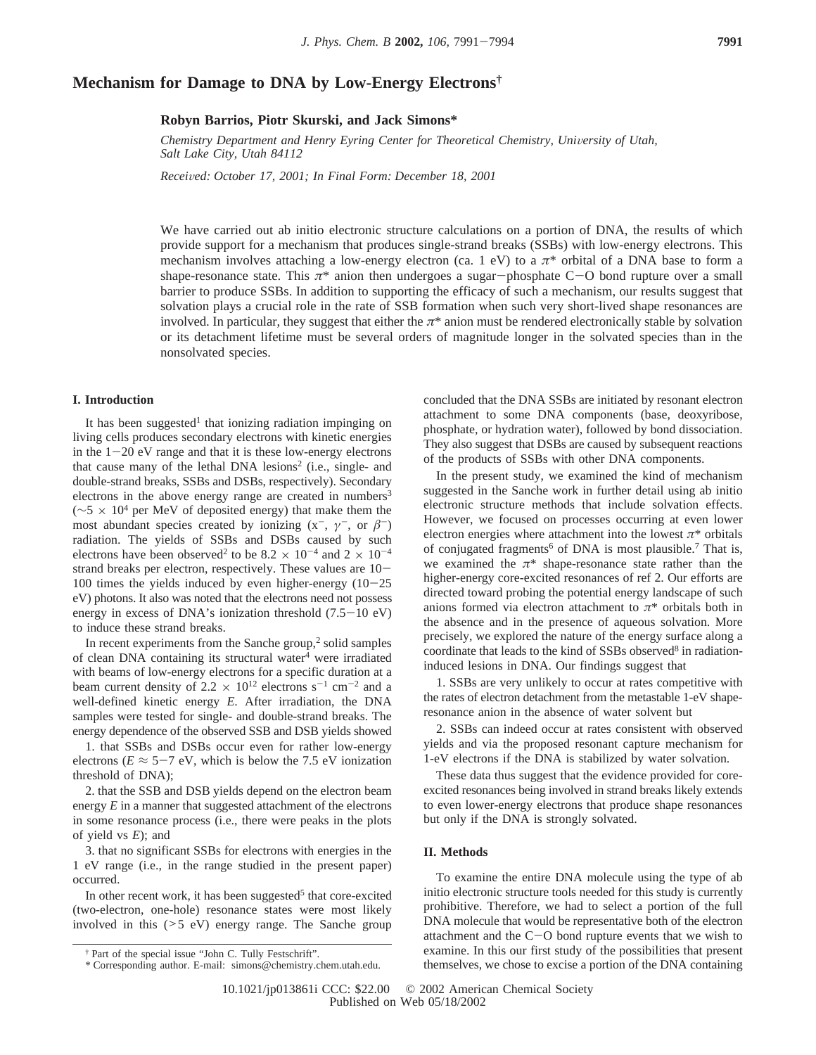# **Mechanism for Damage to DNA by Low-Energy Electrons†**

## **Robyn Barrios, Piotr Skurski, and Jack Simons\***

*Chemistry Department and Henry Eyring Center for Theoretical Chemistry, University of Utah, Salt Lake City, Utah 84112*

*Recei*V*ed: October 17, 2001; In Final Form: December 18, 2001*

We have carried out ab initio electronic structure calculations on a portion of DNA, the results of which provide support for a mechanism that produces single-strand breaks (SSBs) with low-energy electrons. This mechanism involves attaching a low-energy electron (ca. 1 eV) to a  $\pi^*$  orbital of a DNA base to form a shape-resonance state. This  $\pi^*$  anion then undergoes a sugar-phosphate C-O bond rupture over a small barrier to produce SSBs. In addition to supporting the efficacy of such a mechanism, our results suggest that solvation plays a crucial role in the rate of SSB formation when such very short-lived shape resonances are involved. In particular, they suggest that either the  $\pi^*$  anion must be rendered electronically stable by solvation or its detachment lifetime must be several orders of magnitude longer in the solvated species than in the nonsolvated species.

#### **I. Introduction**

It has been suggested<sup>1</sup> that ionizing radiation impinging on living cells produces secondary electrons with kinetic energies in the  $1-20$  eV range and that it is these low-energy electrons that cause many of the lethal DNA lesions<sup>2</sup> (i.e., single- and double-strand breaks, SSBs and DSBs, respectively). Secondary electrons in the above energy range are created in numbers<sup>3</sup> ( $~\sim$ 5 × 10<sup>4</sup> per MeV of deposited energy) that make them the most abundant species created by ionizing  $(x^-, \gamma^-, \text{ or } \beta^-)$ radiation. The yields of SSBs and DSBs caused by such electrons have been observed<sup>2</sup> to be 8.2  $\times$  10<sup>-4</sup> and 2  $\times$  10<sup>-4</sup> strand breaks per electron, respectively. These values are  $10-$ 100 times the yields induced by even higher-energy  $(10-25)$ eV) photons. It also was noted that the electrons need not possess energy in excess of DNA's ionization threshold  $(7.5-10 \text{ eV})$ to induce these strand breaks.

In recent experiments from the Sanche group, $2$  solid samples of clean DNA containing its structural water<sup>4</sup> were irradiated with beams of low-energy electrons for a specific duration at a beam current density of 2.2  $\times$  10<sup>12</sup> electrons s<sup>-1</sup> cm<sup>-2</sup> and a well-defined kinetic energy *E*. After irradiation, the DNA samples were tested for single- and double-strand breaks. The energy dependence of the observed SSB and DSB yields showed

1. that SSBs and DSBs occur even for rather low-energy electrons ( $E \approx 5-7$  eV, which is below the 7.5 eV ionization threshold of DNA);

2. that the SSB and DSB yields depend on the electron beam energy *E* in a manner that suggested attachment of the electrons in some resonance process (i.e., there were peaks in the plots of yield vs *E*); and

3. that no significant SSBs for electrons with energies in the 1 eV range (i.e., in the range studied in the present paper) occurred.

In other recent work, it has been suggested<sup>5</sup> that core-excited (two-electron, one-hole) resonance states were most likely involved in this  $(>= 5 \text{ eV})$  energy range. The Sanche group concluded that the DNA SSBs are initiated by resonant electron attachment to some DNA components (base, deoxyribose, phosphate, or hydration water), followed by bond dissociation. They also suggest that DSBs are caused by subsequent reactions of the products of SSBs with other DNA components.

In the present study, we examined the kind of mechanism suggested in the Sanche work in further detail using ab initio electronic structure methods that include solvation effects. However, we focused on processes occurring at even lower electron energies where attachment into the lowest  $\pi^*$  orbitals of conjugated fragments<sup>6</sup> of DNA is most plausible.<sup>7</sup> That is, we examined the *π*\* shape-resonance state rather than the higher-energy core-excited resonances of ref 2. Our efforts are directed toward probing the potential energy landscape of such anions formed via electron attachment to *π*\* orbitals both in the absence and in the presence of aqueous solvation. More precisely, we explored the nature of the energy surface along a coordinate that leads to the kind of SSBs observed<sup>8</sup> in radiationinduced lesions in DNA. Our findings suggest that

1. SSBs are very unlikely to occur at rates competitive with the rates of electron detachment from the metastable 1-eV shaperesonance anion in the absence of water solvent but

2. SSBs can indeed occur at rates consistent with observed yields and via the proposed resonant capture mechanism for 1-eV electrons if the DNA is stabilized by water solvation.

These data thus suggest that the evidence provided for coreexcited resonances being involved in strand breaks likely extends to even lower-energy electrons that produce shape resonances but only if the DNA is strongly solvated.

## **II. Methods**

To examine the entire DNA molecule using the type of ab initio electronic structure tools needed for this study is currently prohibitive. Therefore, we had to select a portion of the full DNA molecule that would be representative both of the electron attachment and the  $C-O$  bond rupture events that we wish to examine. In this our first study of the possibilities that present themselves, we chose to excise a portion of the DNA containing

<sup>†</sup> Part of the special issue "John C. Tully Festschrift".

<sup>\*</sup> Corresponding author. E-mail: simons@chemistry.chem.utah.edu.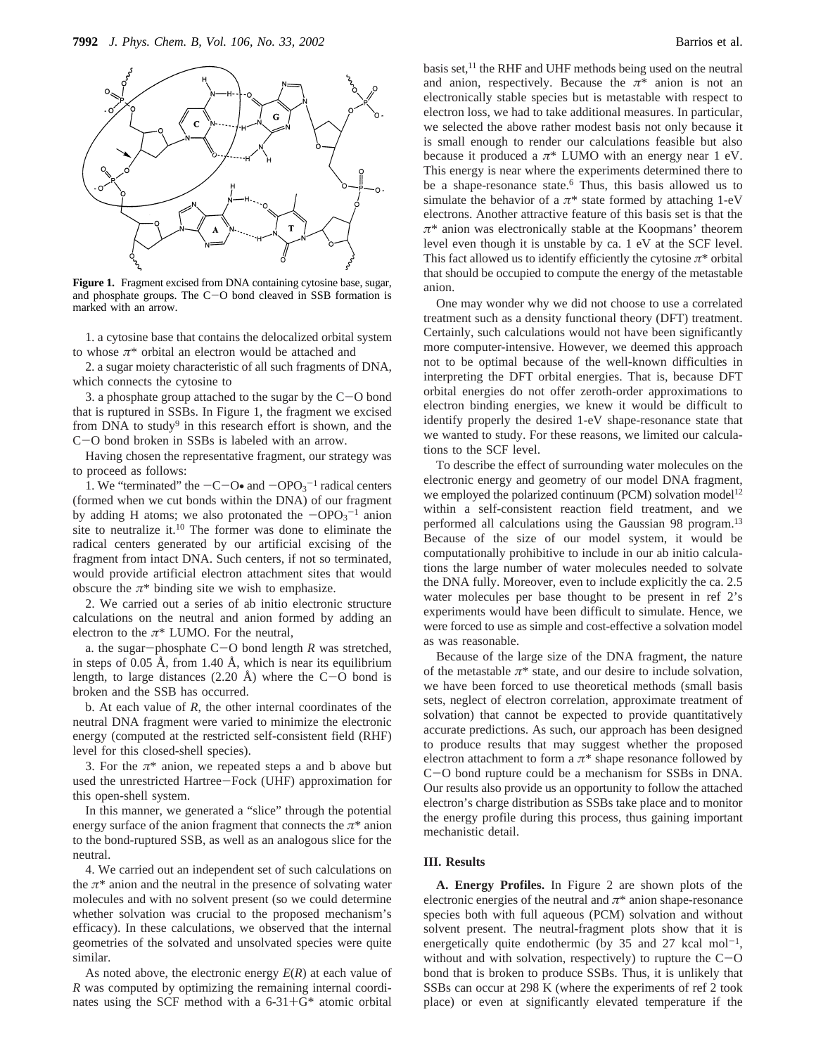

**Figure 1.** Fragment excised from DNA containing cytosine base, sugar, and phosphate groups. The  $C-O$  bond cleaved in SSB formation is marked with an arrow.

1. a cytosine base that contains the delocalized orbital system to whose *π*\* orbital an electron would be attached and

2. a sugar moiety characteristic of all such fragments of DNA, which connects the cytosine to

3. a phosphate group attached to the sugar by the  $C-O$  bond that is ruptured in SSBs. In Figure 1, the fragment we excised from DNA to study<sup>9</sup> in this research effort is shown, and the <sup>C</sup>-O bond broken in SSBs is labeled with an arrow.

Having chosen the representative fragment, our strategy was to proceed as follows:

1. We "terminated" the  $-C-O\bullet$  and  $-OPO<sub>3</sub><sup>-1</sup>$  radical centers<br>primed when we cut bonds within the DNA) of our fragment (formed when we cut bonds within the DNA) of our fragment by adding H atoms; we also protonated the  $-\text{OPO}_3^{-1}$  anion<br>site to peutralize it <sup>10</sup>. The former was done to eliminate the site to neutralize it.10 The former was done to eliminate the radical centers generated by our artificial excising of the fragment from intact DNA. Such centers, if not so terminated, would provide artificial electron attachment sites that would obscure the  $\pi^*$  binding site we wish to emphasize.

2. We carried out a series of ab initio electronic structure calculations on the neutral and anion formed by adding an electron to the  $\pi$ <sup>\*</sup> LUMO. For the neutral,

a. the sugar-phosphate C-O bond length *<sup>R</sup>* was stretched, in steps of 0.05 Å, from 1.40 Å, which is near its equilibrium length, to large distances  $(2.20 \text{ Å})$  where the C-O bond is broken and the SSB has occurred.

b. At each value of *R*, the other internal coordinates of the neutral DNA fragment were varied to minimize the electronic energy (computed at the restricted self-consistent field (RHF) level for this closed-shell species).

3. For the  $\pi^*$  anion, we repeated steps a and b above but used the unrestricted Hartree-Fock (UHF) approximation for this open-shell system.

In this manner, we generated a "slice" through the potential energy surface of the anion fragment that connects the  $\pi^*$  anion to the bond-ruptured SSB, as well as an analogous slice for the neutral.

4. We carried out an independent set of such calculations on the  $\pi^*$  anion and the neutral in the presence of solvating water molecules and with no solvent present (so we could determine whether solvation was crucial to the proposed mechanism's efficacy). In these calculations, we observed that the internal geometries of the solvated and unsolvated species were quite similar.

As noted above, the electronic energy *E*(*R*) at each value of *R* was computed by optimizing the remaining internal coordinates using the SCF method with a  $6-31+G^*$  atomic orbital

basis set, $^{11}$  the RHF and UHF methods being used on the neutral and anion, respectively. Because the  $\pi^*$  anion is not an electronically stable species but is metastable with respect to electron loss, we had to take additional measures. In particular, we selected the above rather modest basis not only because it is small enough to render our calculations feasible but also because it produced a  $\pi^*$  LUMO with an energy near 1 eV. This energy is near where the experiments determined there to be a shape-resonance state.<sup>6</sup> Thus, this basis allowed us to simulate the behavior of a  $\pi^*$  state formed by attaching 1-eV electrons. Another attractive feature of this basis set is that the *π*\* anion was electronically stable at the Koopmans' theorem level even though it is unstable by ca. 1 eV at the SCF level. This fact allowed us to identify efficiently the cytosine  $\pi^*$  orbital that should be occupied to compute the energy of the metastable anion.

One may wonder why we did not choose to use a correlated treatment such as a density functional theory (DFT) treatment. Certainly, such calculations would not have been significantly more computer-intensive. However, we deemed this approach not to be optimal because of the well-known difficulties in interpreting the DFT orbital energies. That is, because DFT orbital energies do not offer zeroth-order approximations to electron binding energies, we knew it would be difficult to identify properly the desired 1-eV shape-resonance state that we wanted to study. For these reasons, we limited our calculations to the SCF level.

To describe the effect of surrounding water molecules on the electronic energy and geometry of our model DNA fragment, we employed the polarized continuum (PCM) solvation model<sup>12</sup> within a self-consistent reaction field treatment, and we performed all calculations using the Gaussian 98 program.<sup>13</sup> Because of the size of our model system, it would be computationally prohibitive to include in our ab initio calculations the large number of water molecules needed to solvate the DNA fully. Moreover, even to include explicitly the ca. 2.5 water molecules per base thought to be present in ref 2's experiments would have been difficult to simulate. Hence, we were forced to use as simple and cost-effective a solvation model as was reasonable.

Because of the large size of the DNA fragment, the nature of the metastable  $\pi^*$  state, and our desire to include solvation, we have been forced to use theoretical methods (small basis sets, neglect of electron correlation, approximate treatment of solvation) that cannot be expected to provide quantitatively accurate predictions. As such, our approach has been designed to produce results that may suggest whether the proposed electron attachment to form a  $\pi^*$  shape resonance followed by <sup>C</sup>-O bond rupture could be a mechanism for SSBs in DNA. Our results also provide us an opportunity to follow the attached electron's charge distribution as SSBs take place and to monitor the energy profile during this process, thus gaining important mechanistic detail.

## **III. Results**

**A. Energy Profiles.** In Figure 2 are shown plots of the electronic energies of the neutral and  $\pi^*$  anion shape-resonance species both with full aqueous (PCM) solvation and without solvent present. The neutral-fragment plots show that it is energetically quite endothermic (by 35 and 27 kcal mol<sup>-1</sup>, without and with solvation, respectively) to rupture the  $C-O$ bond that is broken to produce SSBs. Thus, it is unlikely that SSBs can occur at 298 K (where the experiments of ref 2 took place) or even at significantly elevated temperature if the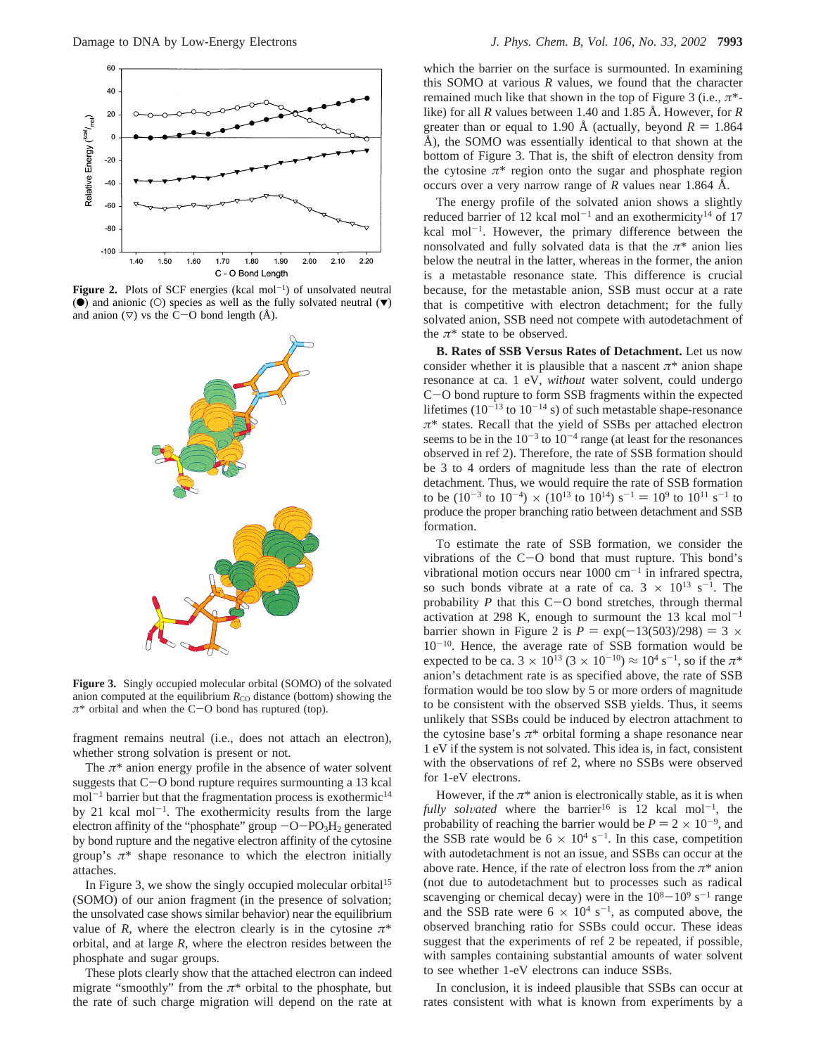

Figure 2. Plots of SCF energies (kcal mol<sup>-1</sup>) of unsolvated neutral ( $\bullet$ ) and anionic ( $\circ$ ) species as well as the fully solvated neutral ( $\blacktriangledown$ ) and anion  $(\nabla)$  vs the C-O bond length (Å).



**Figure 3.** Singly occupied molecular orbital (SOMO) of the solvated anion computed at the equilibrium  $R_{\text{CO}}$  distance (bottom) showing the *<sup>π</sup>*\* orbital and when the C-O bond has ruptured (top).

fragment remains neutral (i.e., does not attach an electron), whether strong solvation is present or not.

The  $\pi^*$  anion energy profile in the absence of water solvent suggests that C-O bond rupture requires surmounting a 13 kcal  $mol^{-1}$  barrier but that the fragmentation process is exothermic<sup>14</sup> by 21 kcal mol<sup> $-1$ </sup>. The exothermicity results from the large electron affinity of the "phosphate" group  $-O-PO<sub>3</sub>H<sub>2</sub>$  generated by bond rupture and the negative electron affinity of the cytosine group's  $\pi^*$  shape resonance to which the electron initially attaches.

In Figure 3, we show the singly occupied molecular orbital<sup>15</sup> (SOMO) of our anion fragment (in the presence of solvation; the unsolvated case shows similar behavior) near the equilibrium value of *R*, where the electron clearly is in the cytosine  $\pi^*$ orbital, and at large *R*, where the electron resides between the phosphate and sugar groups.

These plots clearly show that the attached electron can indeed migrate "smoothly" from the  $\pi$ <sup>\*</sup> orbital to the phosphate, but the rate of such charge migration will depend on the rate at

which the barrier on the surface is surmounted. In examining this SOMO at various *R* values, we found that the character remained much like that shown in the top of Figure 3 (i.e., *π*\* like) for all *R* values between 1.40 and 1.85 Å. However, for *R* greater than or equal to 1.90 Å (actually, beyond  $R = 1.864$ ) Å), the SOMO was essentially identical to that shown at the bottom of Figure 3. That is, the shift of electron density from the cytosine  $\pi^*$  region onto the sugar and phosphate region occurs over a very narrow range of *R* values near 1.864 Å.

The energy profile of the solvated anion shows a slightly reduced barrier of 12 kcal mol<sup>-1</sup> and an exothermicity<sup>14</sup> of 17 kcal mol<sup>-1</sup>. However, the primary difference between the nonsolvated and fully solvated data is that the  $\pi^*$  anion lies below the neutral in the latter, whereas in the former, the anion is a metastable resonance state. This difference is crucial because, for the metastable anion, SSB must occur at a rate that is competitive with electron detachment; for the fully solvated anion, SSB need not compete with autodetachment of the  $\pi^*$  state to be observed.

**B. Rates of SSB Versus Rates of Detachment.** Let us now consider whether it is plausible that a nascent  $\pi^*$  anion shape resonance at ca. 1 eV, *without* water solvent, could undergo <sup>C</sup>-O bond rupture to form SSB fragments within the expected lifetimes  $(10^{-13}$  to  $10^{-14}$  s) of such metastable shape-resonance *π*\* states. Recall that the yield of SSBs per attached electron seems to be in the  $10^{-3}$  to  $10^{-4}$  range (at least for the resonances observed in ref 2). Therefore, the rate of SSB formation should be 3 to 4 orders of magnitude less than the rate of electron detachment. Thus, we would require the rate of SSB formation to be  $(10^{-3}$  to  $10^{-4}) \times (10^{13}$  to  $10^{14})$  s<sup>-1</sup> =  $10^{9}$  to  $10^{11}$  s<sup>-1</sup> to produce the proper branching ratio between detachment and SSB formation.

To estimate the rate of SSB formation, we consider the vibrations of the C-O bond that must rupture. This bond's vibrational motion occurs near  $1000 \text{ cm}^{-1}$  in infrared spectra, so such bonds vibrate at a rate of ca.  $3 \times 10^{13}$  s<sup>-1</sup>. The probability *<sup>P</sup>* that this C-O bond stretches, through thermal activation at 298 K, enough to surmount the 13 kcal mol<sup>-1</sup> barrier shown in Figure 2 is  $P = \exp(-13(503)/298) = 3 \times$  $10^{-10}$ . Hence, the average rate of SSB formation would be expected to be ca.  $3 \times 10^{13}$  ( $3 \times 10^{-10}$ )  $\approx 10^4$  s<sup>-1</sup>, so if the  $\pi^*$ anion's detachment rate is as specified above, the rate of SSB formation would be too slow by 5 or more orders of magnitude to be consistent with the observed SSB yields. Thus, it seems unlikely that SSBs could be induced by electron attachment to the cytosine base's  $\pi^*$  orbital forming a shape resonance near 1 eV if the system is not solvated. This idea is, in fact, consistent with the observations of ref 2, where no SSBs were observed for 1-eV electrons.

However, if the  $\pi^*$  anion is electronically stable, as it is when *fully solvated* where the barrier<sup>16</sup> is 12 kcal mol<sup>-1</sup>, the probability of reaching the barrier would be  $P = 2 \times 10^{-9}$ , and the SSB rate would be  $6 \times 10^4$  s<sup>-1</sup>. In this case, competition with autodetachment is not an issue, and SSBs can occur at the above rate. Hence, if the rate of electron loss from the  $\pi^*$  anion (not due to autodetachment but to processes such as radical scavenging or chemical decay) were in the  $10^8-10^9$  s<sup>-1</sup> range and the SSB rate were  $6 \times 10^4$  s<sup>-1</sup>, as computed above, the observed branching ratio for SSBs could occur. These ideas suggest that the experiments of ref 2 be repeated, if possible, with samples containing substantial amounts of water solvent to see whether 1-eV electrons can induce SSBs.

In conclusion, it is indeed plausible that SSBs can occur at rates consistent with what is known from experiments by a